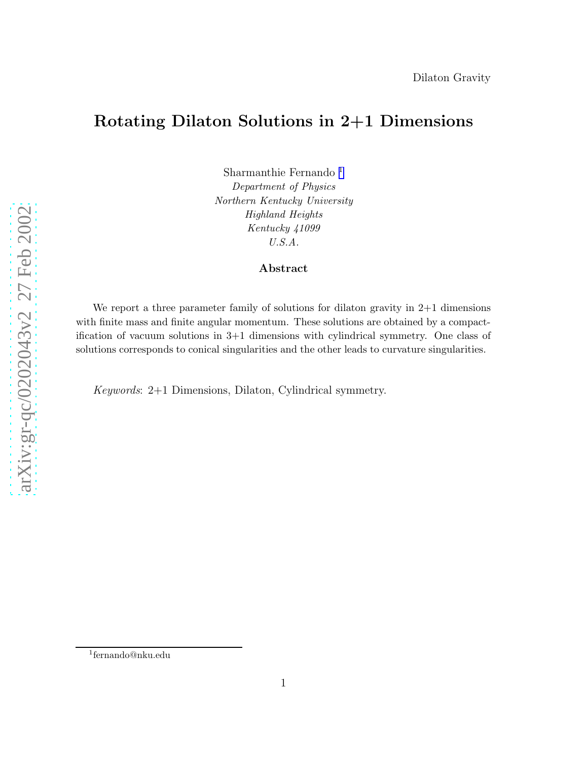### Rotating Dilaton Solutions in 2+1 Dimensions

Sharmanthie Fernando 1 Department of Physics Northern Kentucky University Highland Heights Kentucky 41099 U.S.A.

#### Abstract

We report a three parameter family of solutions for dilaton gravity in  $2+1$  dimensions with finite mass and finite angular momentum. These solutions are obtained by a compactification of vacuum solutions in 3+1 dimensions with cylindrical symmetry. One class of solutions corresponds to conical singularities and the other leads to curvature singularities.

Keywords: 2+1 Dimensions, Dilaton, Cylindrical symmetry.

<sup>1</sup> fernando@nku.edu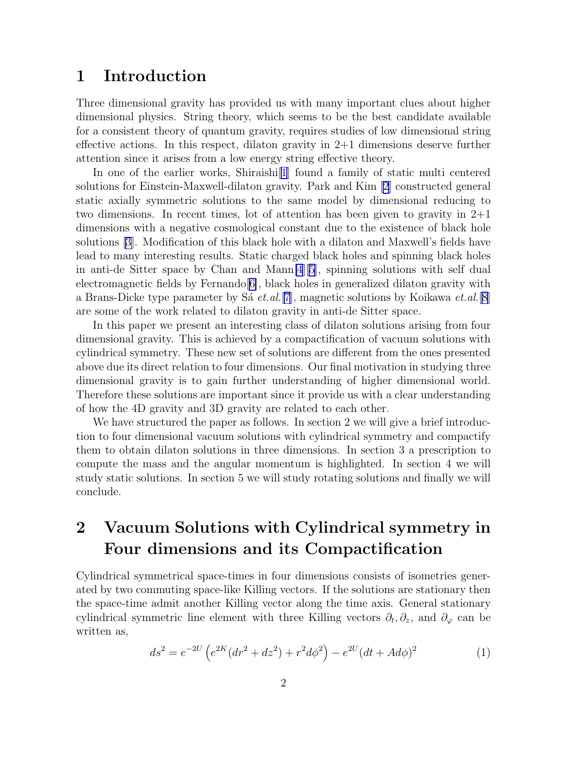### 1 Introduction

Three dimensional gravity has provided us with many important clues about higher dimensional physics. String theory, which seems to be the best candidate available for a consistent theory of quantum gravity, requires studies of low dimensional string effective actions. In this respect, dilaton gravity in  $2+1$  dimensions deserve further attention since it arises from a low energy string effective theory.

In one of the earlier works, Shiraishi[\[1](#page-7-0)] found a family of static multi centered solutions for Einstein-Maxwell-dilaton gravity. Park and Kim [\[2](#page-7-0)] constructed general static axially symmetric solutions to the same model by dimensional reducing to two dimensions. In recent times, lot of attention has been given to gravity in 2+1 dimensions with a negative cosmological constant due to the existence of black hole solutions [\[3\]](#page-7-0). Modification of this black hole with a dilaton and Maxwell's fields have lead to many interesting results. Static charged black holes and spinning black holes in anti-de Sitter space by Chan and Mann[\[4](#page-7-0)][[5\]](#page-7-0), spinning solutions with self dual electromagnetic fields by Fernando $[6]$  $[6]$ , black holes in generalized dilaton gravity with a Brans-Dicke type parameter by Sa  $et. al. [7]$  $et. al. [7]$  $et. al. [7]$ , magnetic solutions by Koikawa  $et. al. [8]$  $et. al. [8]$ are some of the work related to dilaton gravity in anti-de Sitter space.

In this paper we present an interesting class of dilaton solutions arising from four dimensional gravity. This is achieved by a compactification of vacuum solutions with cylindrical symmetry. These new set of solutions are different from the ones presented above due its direct relation to four dimensions. Our final motivation in studying three dimensional gravity is to gain further understanding of higher dimensional world. Therefore these solutions are important since it provide us with a clear understanding of how the 4D gravity and 3D gravity are related to each other.

We have structured the paper as follows. In section 2 we will give a brief introduction to four dimensional vacuum solutions with cylindrical symmetry and compactify them to obtain dilaton solutions in three dimensions. In section 3 a prescription to compute the mass and the angular momentum is highlighted. In section 4 we will study static solutions. In section 5 we will study rotating solutions and finally we will conclude.

# 2 Vacuum Solutions with Cylindrical symmetry in Four dimensions and its Compactification

Cylindrical symmetrical space-times in four dimensions consists of isometries generated by two commuting space-like Killing vectors. If the solutions are stationary then the space-time admit another Killing vector along the time axis. General stationary cylindrical symmetric line element with three Killing vectors  $\partial_t$ ,  $\partial_z$ , and  $\partial_\varphi$  can be written as,

$$
ds^{2} = e^{-2U} \left( e^{2K} (dr^{2} + dz^{2}) + r^{2} d\phi^{2} \right) - e^{2U} (dt + A d\phi)^{2}
$$
 (1)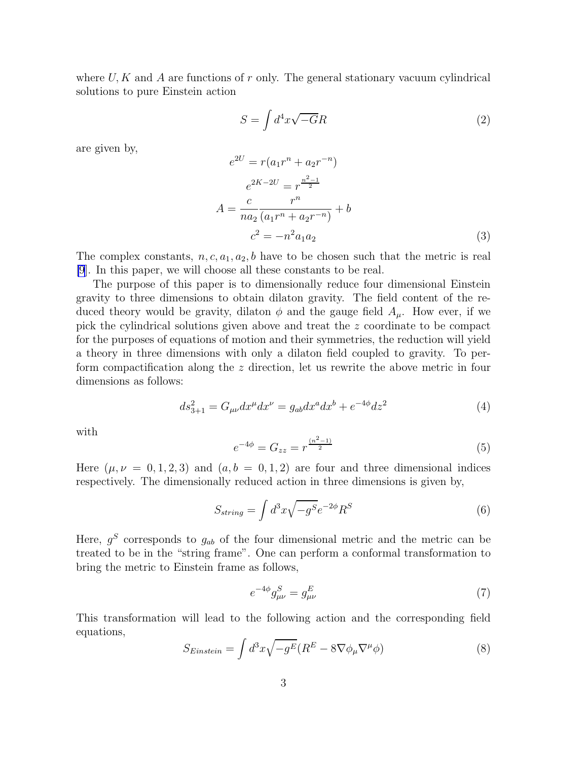where  $U, K$  and A are functions of r only. The general stationary vacuum cylindrical solutions to pure Einstein action

$$
S = \int d^4x \sqrt{-G}R\tag{2}
$$

are given by,

$$
e^{2U} = r(a_1r^n + a_2r^{-n})
$$
  
\n
$$
e^{2K-2U} = r^{\frac{n^2-1}{2}}
$$
  
\n
$$
A = \frac{c}{na_2} \frac{r^n}{(a_1r^n + a_2r^{-n})} + b
$$
  
\n
$$
c^2 = -n^2a_1a_2
$$
\n(3)

The complex constants,  $n, c, a_1, a_2, b$  have to be chosen such that the metric is real [\[9](#page-7-0)]. In this paper, we will choose all these constants to be real.

The purpose of this paper is to dimensionally reduce four dimensional Einstein gravity to three dimensions to obtain dilaton gravity. The field content of the reduced theory would be gravity, dilaton  $\phi$  and the gauge field  $A_\mu$ . How ever, if we pick the cylindrical solutions given above and treat the z coordinate to be compact for the purposes of equations of motion and their symmetries, the reduction will yield a theory in three dimensions with only a dilaton field coupled to gravity. To perform compactification along the z direction, let us rewrite the above metric in four dimensions as follows:

$$
ds_{3+1}^2 = G_{\mu\nu} dx^{\mu} dx^{\nu} = g_{ab} dx^a dx^b + e^{-4\phi} dz^2
$$
 (4)

with

$$
e^{-4\phi} = G_{zz} = r^{\frac{(n^2-1)}{2}} \tag{5}
$$

Here  $(\mu, \nu = 0, 1, 2, 3)$  and  $(a, b = 0, 1, 2)$  are four and three dimensional indices respectively. The dimensionally reduced action in three dimensions is given by,

$$
S_{string} = \int d^3x \sqrt{-g^S} e^{-2\phi} R^S \tag{6}
$$

Here,  $g^S$  corresponds to  $g_{ab}$  of the four dimensional metric and the metric can be treated to be in the "string frame". One can perform a conformal transformation to bring the metric to Einstein frame as follows,

$$
e^{-4\phi}g_{\mu\nu}^{S} = g_{\mu\nu}^{E} \tag{7}
$$

This transformation will lead to the following action and the corresponding field equations,

$$
S_{Einstein} = \int d^3x \sqrt{-g^E} (R^E - 8\nabla \phi_\mu \nabla^\mu \phi)
$$
\n(8)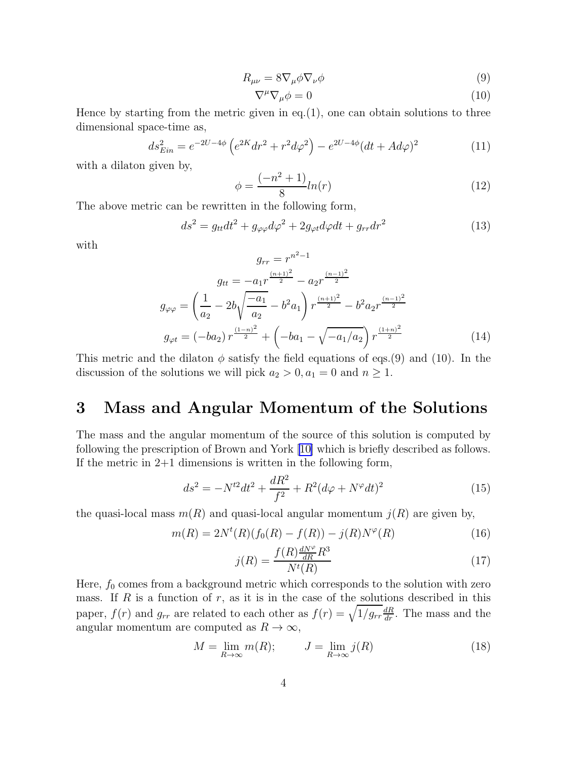$$
R_{\mu\nu} = 8\nabla_{\mu}\phi\nabla_{\nu}\phi\tag{9}
$$

$$
\nabla^{\mu}\nabla_{\mu}\phi = 0\tag{10}
$$

Hence by starting from the metric given in eq. $(1)$ , one can obtain solutions to three dimensional space-time as,

$$
ds_{Ein}^2 = e^{-2U - 4\phi} \left( e^{2K} dr^2 + r^2 d\varphi^2 \right) - e^{2U - 4\phi} (dt + A d\varphi)^2 \tag{11}
$$

with a dilaton given by,

$$
\phi = \frac{(-n^2 + 1)}{8} \ln(r) \tag{12}
$$

The above metric can be rewritten in the following form,

$$
ds^2 = g_{tt}dt^2 + g_{\varphi\varphi}d\varphi^2 + 2g_{\varphi t}d\varphi dt + g_{rr}dr^2
$$
\n(13)

with

$$
g_{rr} = r^{n^2 - 1}
$$

$$
g_{tt} = -a_1 r^{\frac{(n+1)^2}{2}} - a_2 r^{\frac{(n-1)^2}{2}}
$$

$$
g_{\varphi\varphi} = \left(\frac{1}{a_2} - 2b\sqrt{\frac{-a_1}{a_2}} - b^2 a_1\right) r^{\frac{(n+1)^2}{2}} - b^2 a_2 r^{\frac{(n-1)^2}{2}}
$$

$$
g_{\varphi t} = (-ba_2) r^{\frac{(1-n)^2}{2}} + \left(-ba_1 - \sqrt{-a_1/a_2}\right) r^{\frac{(1+n)^2}{2}}
$$
(14)

This metric and the dilaton  $\phi$  satisfy the field equations of eqs.(9) and (10). In the discussion of the solutions we will pick  $a_2 > 0, a_1 = 0$  and  $n \ge 1$ .

### 3 Mass and Angular Momentum of the Solutions

The mass and the angular momentum of the source of this solution is computed by following the prescription of Brown and York [\[10\]](#page-8-0) which is briefly described as follows. If the metric in 2+1 dimensions is written in the following form,

$$
ds^{2} = -N^{t2}dt^{2} + \frac{dR^{2}}{f^{2}} + R^{2}(d\varphi + N^{\varphi}dt)^{2}
$$
 (15)

the quasi-local mass  $m(R)$  and quasi-local angular momentum  $j(R)$  are given by,

$$
m(R) = 2N^{t}(R)(f_0(R) - f(R)) - j(R)N^{\varphi}(R)
$$
\n(16)

$$
j(R) = \frac{f(R)\frac{dN^{\varphi}}{dR}R^3}{N^t(R)}
$$
\n(17)

Here,  $f_0$  comes from a background metric which corresponds to the solution with zero mass. If R is a function of  $r$ , as it is in the case of the solutions described in this paper,  $f(r)$  and  $g_{rr}$  are related to each other as  $f(r) = \sqrt{1/g_{rr} \frac{dR}{dr}}$ . The mass and the angular momentum are computed as  $R \to \infty$ ,

$$
M = \lim_{R \to \infty} m(R); \qquad J = \lim_{R \to \infty} j(R)
$$
 (18)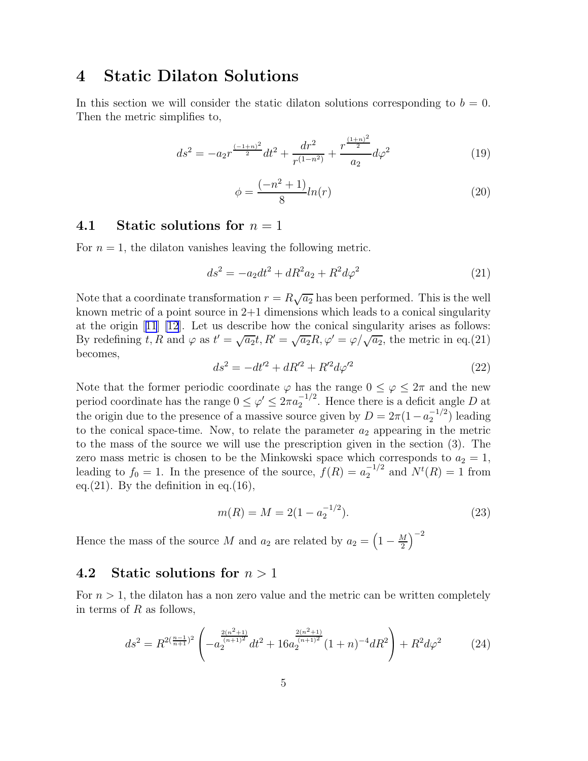## 4 Static Dilaton Solutions

In this section we will consider the static dilaton solutions corresponding to  $b = 0$ . Then the metric simplifies to,

$$
ds^{2} = -a_{2}r^{\frac{(-1+n)^{2}}{2}}dt^{2} + \frac{dr^{2}}{r^{(1-n^{2})}} + \frac{r^{\frac{(1+n)^{2}}{2}}}{a_{2}}d\varphi^{2}
$$
(19)

$$
\phi = \frac{(-n^2 + 1)}{8} ln(r) \tag{20}
$$

#### 4.1 Static solutions for  $n = 1$

For  $n = 1$ , the dilaton vanishes leaving the following metric.

$$
ds^{2} = -a_{2}dt^{2} + dR^{2}a_{2} + R^{2}d\varphi^{2}
$$
 (21)

Note that a coordinate transformation  $r = R\sqrt{a_2}$  has been performed. This is the well known metric of a point source in  $2+1$  dimensions which leads to a conical singularity at the origin[[11](#page-8-0)] [\[12](#page-8-0)]. Let us describe how the conical singularity arises as follows: By redefining t, R and  $\varphi$  as  $t' = \sqrt{a_2}t$ ,  $R' = \sqrt{a_2}R$ ,  $\varphi' = \varphi/\sqrt{a_2}$ , the metric in eq.(21) becomes,

$$
ds^{2} = -dt'^{2} + dR'^{2} + R'^{2}d\varphi'^{2}
$$
\n(22)

Note that the former periodic coordinate  $\varphi$  has the range  $0 \leq \varphi \leq 2\pi$  and the new period coordinate has the range  $0 \leq \varphi' \leq 2\pi a_2^{-1/2}$  $2^{-1/2}$ . Hence there is a deficit angle D at the origin due to the presence of a massive source given by  $D = 2\pi (1 - a_2^{-1/2})$  $\binom{-1/2}{2}$  leading to the conical space-time. Now, to relate the parameter  $a_2$  appearing in the metric to the mass of the source we will use the prescription given in the section (3). The zero mass metric is chosen to be the Minkowski space which corresponds to  $a_2 = 1$ , leading to  $f_0 = 1$ . In the presence of the source,  $f(R) = a_2^{-1/2}$  and  $N^t(R) = 1$  from eq.  $(21)$ . By the definition in eq.  $(16)$ ,

$$
m(R) = M = 2(1 - a_2^{-1/2}).
$$
\n(23)

Hence the mass of the source M and  $a_2$  are related by  $a_2 = \left(1 - \frac{M}{2}\right)$  $\frac{M}{2}$  $\bigg)^{-2}$ 

### 4.2 Static solutions for  $n > 1$

For  $n > 1$ , the dilaton has a non zero value and the metric can be written completely in terms of  $R$  as follows,

$$
ds^{2} = R^{2(\frac{n-1}{n+1})^{2}} \left( -a_{2}^{\frac{2(n^{2}+1)}{(n+1)^{2}}} dt^{2} + 16a_{2}^{\frac{2(n^{2}+1)}{(n+1)^{2}}} (1+n)^{-4} dR^{2} \right) + R^{2} d\varphi^{2}
$$
(24)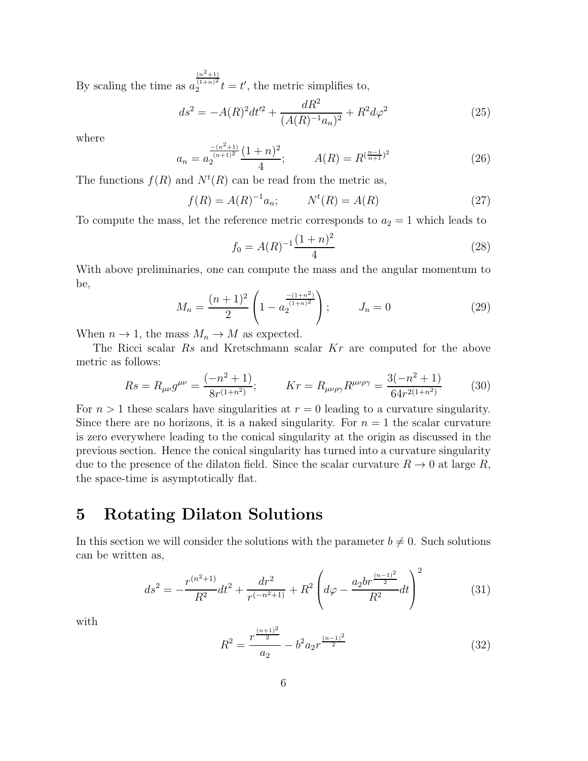By scaling the time as  $a$  $(n^2+1)$  $(1+n)^2$  $\frac{\overline{(1+n)^2}}{2}t = t'$ , the metric simplifies to,

$$
ds^{2} = -A(R)^{2}dt^{2} + \frac{dR^{2}}{(A(R)^{-1}a_{n})^{2}} + R^{2}d\varphi^{2}
$$
 (25)

where

$$
a_n = a_2^{\frac{-(n^2+1)}{(n+1)^2}} \frac{(1+n)^2}{4}; \qquad A(R) = R^{\left(\frac{n-1}{n+1}\right)^2} \tag{26}
$$

The functions  $f(R)$  and  $N^t(R)$  can be read from the metric as,

$$
f(R) = A(R)^{-1}a_n; \t Nt(R) = A(R)
$$
 (27)

To compute the mass, let the reference metric corresponds to  $a_2 = 1$  which leads to

$$
f_0 = A(R)^{-1} \frac{(1+n)^2}{4} \tag{28}
$$

With above preliminaries, one can compute the mass and the angular momentum to be,

$$
M_n = \frac{(n+1)^2}{2} \left( 1 - a_2^{\frac{-(1+n^2)}{(1+n)^2}} \right); \qquad J_n = 0 \tag{29}
$$

When  $n \to 1$ , the mass  $M_n \to M$  as expected.

The Ricci scalar Rs and Kretschmann scalar Kr are computed for the above metric as follows:

$$
Rs = R_{\mu\nu}g^{\mu\nu} = \frac{(-n^2 + 1)}{8r^{(1+n^2)}}; \qquad Kr = R_{\mu\nu\rho\gamma}R^{\mu\nu\rho\gamma} = \frac{3(-n^2 + 1)}{64r^{2(1+n^2)}} \tag{30}
$$

For  $n > 1$  these scalars have singularities at  $r = 0$  leading to a curvature singularity. Since there are no horizons, it is a naked singularity. For  $n = 1$  the scalar curvature is zero everywhere leading to the conical singularity at the origin as discussed in the previous section. Hence the conical singularity has turned into a curvature singularity due to the presence of the dilaton field. Since the scalar curvature  $R \to 0$  at large R, the space-time is asymptotically flat.

### 5 Rotating Dilaton Solutions

In this section we will consider the solutions with the parameter  $b \neq 0$ . Such solutions can be written as,

$$
ds^{2} = -\frac{r^{(n^{2}+1)}}{R^{2}}dt^{2} + \frac{dr^{2}}{r^{(-n^{2}+1)}} + R^{2} \left(d\varphi - \frac{a_{2}br^{\frac{(n-1)^{2}}{2}}}{R^{2}}dt\right)^{2}
$$
(31)

with

$$
R^2 = \frac{r^{\frac{(n+1)^2}{2}}}{a_2} - b^2 a_2 r^{\frac{(n-1)^2}{2}}
$$
\n(32)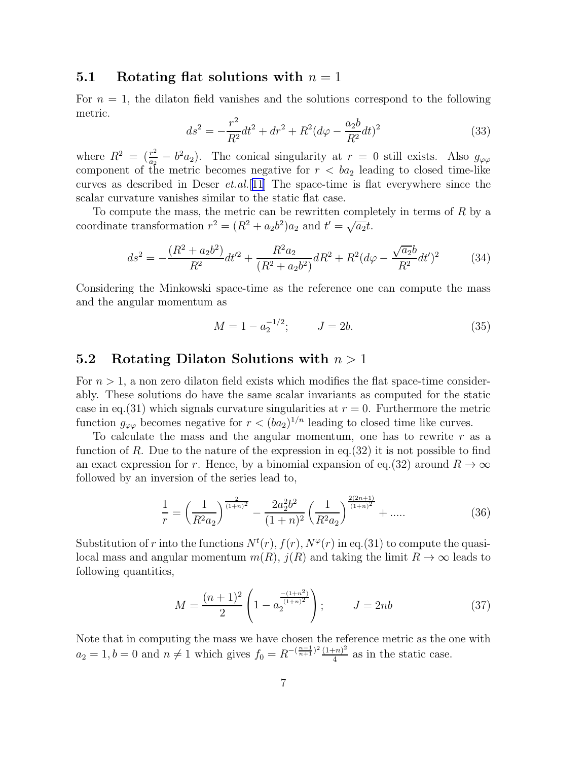#### 5.1 Rotating flat solutions with  $n = 1$

For  $n = 1$ , the dilaton field vanishes and the solutions correspond to the following metric.

$$
ds^{2} = -\frac{r^{2}}{R^{2}}dt^{2} + dr^{2} + R^{2}(d\varphi - \frac{a_{2}b}{R^{2}}dt)^{2}
$$
 (33)

where  $R^2 = \left(\frac{r^2}{a_2}\right)$  $\frac{r^2}{a_2} - b^2 a_2$ ). The conical singularity at  $r = 0$  still exists. Also  $g_{\varphi\varphi}$ component of the metric becomes negative for  $r < ba_2$  leading to closed time-like curves as described in Deser  $et. al.$ [[11](#page-8-0)] The space-time is flat everywhere since the scalar curvature vanishes similar to the static flat case.

To compute the mass, the metric can be rewritten completely in terms of  $R$  by a coordinate transformation  $r^2 = (R^2 + a_2b^2)a_2$  and  $t' = \sqrt{a_2t}$ .

$$
ds^{2} = -\frac{(R^{2} + a_{2}b^{2})}{R^{2}}dt'^{2} + \frac{R^{2}a_{2}}{(R^{2} + a_{2}b^{2})}dR^{2} + R^{2}(d\varphi - \frac{\sqrt{a_{2}}b}{R^{2}}dt')^{2}
$$
(34)

Considering the Minkowski space-time as the reference one can compute the mass and the angular momentum as

$$
M = 1 - a_2^{-1/2}; \t J = 2b.
$$
\t(35)

#### 5.2 Rotating Dilaton Solutions with  $n > 1$

For  $n > 1$ , a non zero dilaton field exists which modifies the flat space-time considerably. These solutions do have the same scalar invariants as computed for the static case in eq.(31) which signals curvature singularities at  $r = 0$ . Furthermore the metric function  $g_{\varphi\varphi}$  becomes negative for  $r < (ba_2)^{1/n}$  leading to closed time like curves.

To calculate the mass and the angular momentum, one has to rewrite  $r$  as a function of R. Due to the nature of the expression in eq.  $(32)$  it is not possible to find an exact expression for r. Hence, by a binomial expansion of eq.(32) around  $R \to \infty$ followed by an inversion of the series lead to,

$$
\frac{1}{r} = \left(\frac{1}{R^2 a_2}\right)^{\frac{2}{(1+n)^2}} - \frac{2a_2^2 b^2}{(1+n)^2} \left(\frac{1}{R^2 a_2}\right)^{\frac{2(2n+1)}{(1+n)^2}} + \dots
$$
 (36)

Substitution of r into the functions  $N^{t}(r)$ ,  $f(r)$ ,  $N^{\varphi}(r)$  in eq.(31) to compute the quasilocal mass and angular momentum  $m(R)$ ,  $j(R)$  and taking the limit  $R \to \infty$  leads to following quantities,

$$
M = \frac{(n+1)^2}{2} \left( 1 - a_2^{\frac{-(1+n^2)}{(1+n)^2}} \right); \qquad J = 2nb \tag{37}
$$

Note that in computing the mass we have chosen the reference metric as the one with  $a_2 = 1, b = 0$  and  $n \neq 1$  which gives  $f_0 = R^{-(\frac{n-1}{n+1})^2} \frac{(1+n)^2}{4}$  $\frac{(-n)^2}{4}$  as in the static case.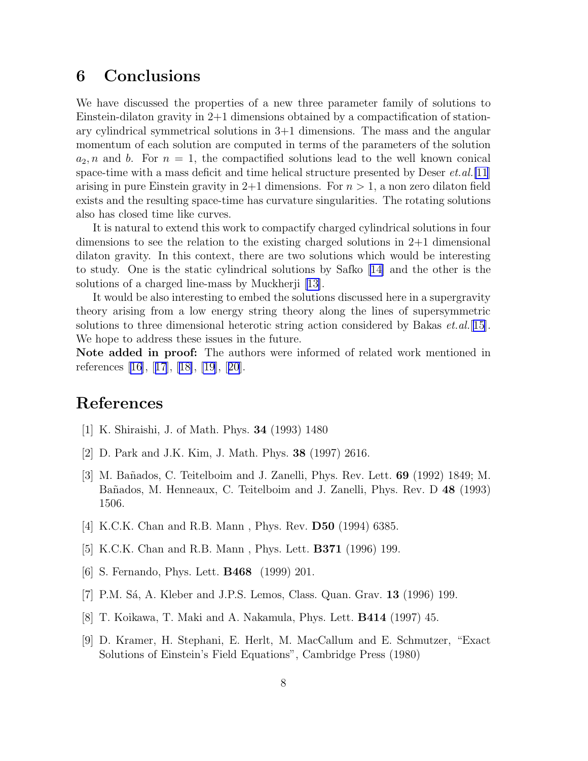## <span id="page-7-0"></span>6 Conclusions

We have discussed the properties of a new three parameter family of solutions to Einstein-dilaton gravity in  $2+1$  dimensions obtained by a compactification of stationary cylindrical symmetrical solutions in 3+1 dimensions. The mass and the angular momentum of each solution are computed in terms of the parameters of the solution  $a_2, n$  and b. For  $n = 1$ , the compactified solutions lead to the well known conical space-time with a mass deficit and time helical structure presented by Deser  $et. al.$ [\[11\]](#page-8-0) arising in pure Einstein gravity in  $2+1$  dimensions. For  $n > 1$ , a non zero dilaton field exists and the resulting space-time has curvature singularities. The rotating solutions also has closed time like curves.

It is natural to extend this work to compactify charged cylindrical solutions in four dimensions to see the relation to the existing charged solutions in 2+1 dimensional dilaton gravity. In this context, there are two solutions which would be interesting to study. One is the static cylindrical solutions by Safko [\[14\]](#page-8-0) and the other is the solutions of a charged line-mass by Muckherji [\[13\]](#page-8-0).

It would be also interesting to embed the solutions discussed here in a supergravity theory arising from a low energy string theory along the lines of supersymmetric solutions to three dimensional heterotic string action considered by Bakas  $et. al.$  [[15\]](#page-8-0). We hope to address these issues in the future.

Note added in proof: The authors were informed of related work mentioned in references [\[16\]](#page-8-0),[[17](#page-8-0)],[[18\]](#page-8-0), [\[19\]](#page-8-0),[[20](#page-8-0)].

### References

- [1] K. Shiraishi, J. of Math. Phys. 34 (1993) 1480
- [2] D. Park and J.K. Kim, J. Math. Phys. 38 (1997) 2616.
- [3] M. Bañados, C. Teitelboim and J. Zanelli, Phys. Rev. Lett. **69** (1992) 1849; M. Bañados, M. Henneaux, C. Teitelboim and J. Zanelli, Phys. Rev. D 48 (1993) 1506.
- [4] K.C.K. Chan and R.B. Mann , Phys. Rev. D50 (1994) 6385.
- [5] K.C.K. Chan and R.B. Mann , Phys. Lett. B371 (1996) 199.
- [6] S. Fernando, Phys. Lett. B468 (1999) 201.
- [7] P.M. Sá, A. Kleber and J.P.S. Lemos, Class. Quan. Grav. 13 (1996) 199.
- [8] T. Koikawa, T. Maki and A. Nakamula, Phys. Lett. B414 (1997) 45.
- [9] D. Kramer, H. Stephani, E. Herlt, M. MacCallum and E. Schmutzer, "Exact Solutions of Einstein's Field Equations", Cambridge Press (1980)